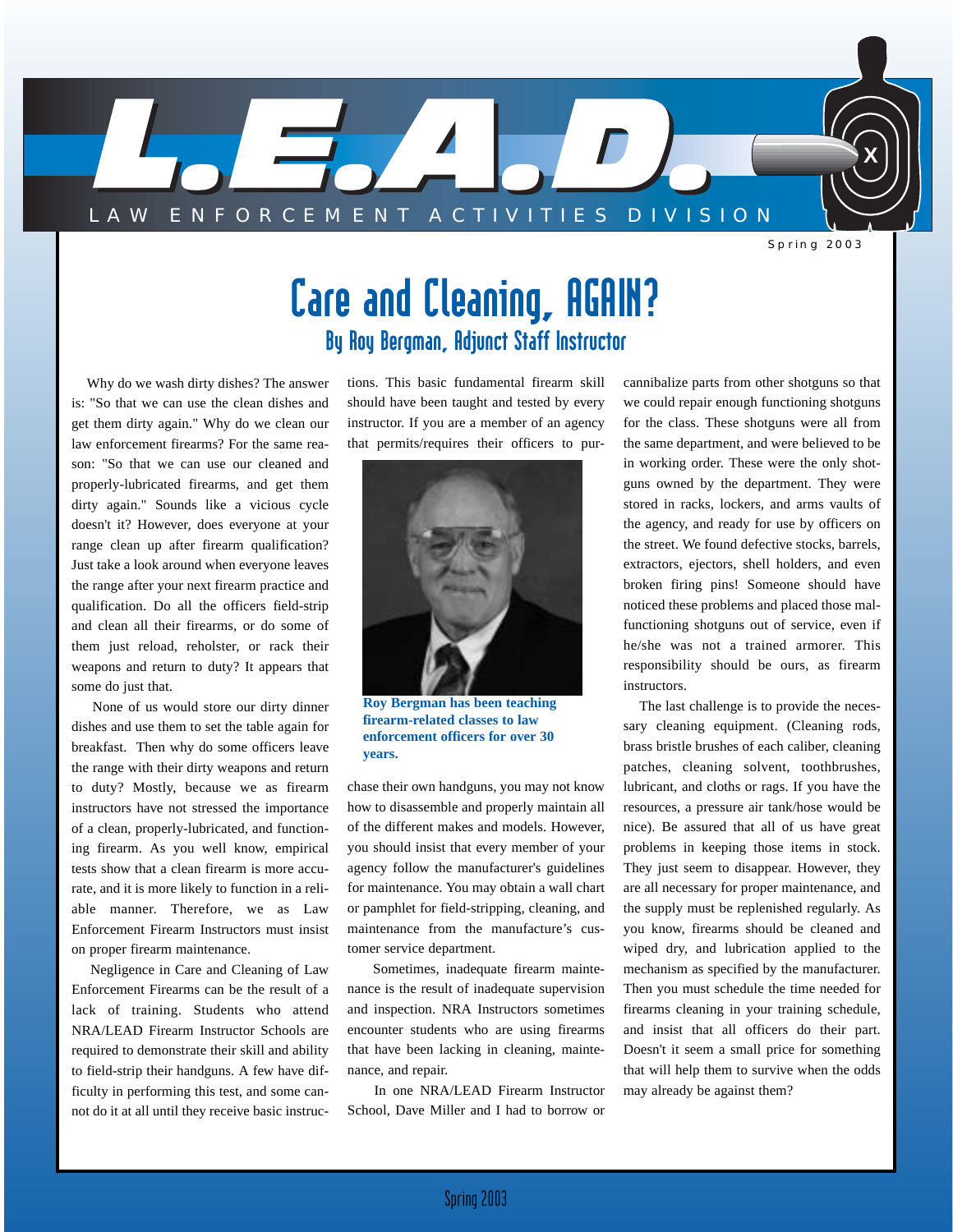

Spring 2003

# Care and Cleaning, AGAIN? By Roy Bergman, Adjunct Staff Instructor

Why do we wash dirty dishes? The answer is: "So that we can use the clean dishes and get them dirty again." Why do we clean our law enforcement firearms? For the same reason: "So that we can use our cleaned and properly-lubricated firearms, and get them dirty again." Sounds like a vicious cycle doesn't it? However, does everyone at your range clean up after firearm qualification? Just take a look around when everyone leaves the range after your next firearm practice and qualification. Do all the officers field-strip and clean all their firearms, or do some of them just reload, reholster, or rack their weapons and return to duty? It appears that some do just that.

None of us would store our dirty dinner dishes and use them to set the table again for breakfast. Then why do some officers leave the range with their dirty weapons and return to duty? Mostly, because we as firearm instructors have not stressed the importance of a clean, properly-lubricated, and functioning firearm. As you well know, empirical tests show that a clean firearm is more accurate, and it is more likely to function in a reliable manner. Therefore, we as Law Enforcement Firearm Instructors must insist on proper firearm maintenance.

Negligence in Care and Cleaning of Law Enforcement Firearms can be the result of a lack of training. Students who attend NRA/LEAD Firearm Instructor Schools are required to demonstrate their skill and ability to field-strip their handguns. A few have difficulty in performing this test, and some cannot do it at all until they receive basic instructions. This basic fundamental firearm skill should have been taught and tested by every instructor. If you are a member of an agency that permits/requires their officers to pur-



**Roy Bergman has been teaching firearm-related classes to law enforcement officers for over 30 years.**

chase their own handguns, you may not know how to disassemble and properly maintain all of the different makes and models. However, you should insist that every member of your agency follow the manufacturer's guidelines for maintenance. You may obtain a wall chart or pamphlet for field-stripping, cleaning, and maintenance from the manufacture's customer service department.

Sometimes, inadequate firearm maintenance is the result of inadequate supervision and inspection. NRA Instructors sometimes encounter students who are using firearms that have been lacking in cleaning, maintenance, and repair.

In one NRA/LEAD Firearm Instructor School, Dave Miller and I had to borrow or

cannibalize parts from other shotguns so that we could repair enough functioning shotguns for the class. These shotguns were all from the same department, and were believed to be in working order. These were the only shotguns owned by the department. They were stored in racks, lockers, and arms vaults of the agency, and ready for use by officers on the street. We found defective stocks, barrels, extractors, ejectors, shell holders, and even broken firing pins! Someone should have noticed these problems and placed those malfunctioning shotguns out of service, even if he/she was not a trained armorer. This responsibility should be ours, as firearm instructors.

The last challenge is to provide the necessary cleaning equipment. (Cleaning rods, brass bristle brushes of each caliber, cleaning patches, cleaning solvent, toothbrushes, lubricant, and cloths or rags. If you have the resources, a pressure air tank/hose would be nice). Be assured that all of us have great problems in keeping those items in stock. They just seem to disappear. However, they are all necessary for proper maintenance, and the supply must be replenished regularly. As you know, firearms should be cleaned and wiped dry, and lubrication applied to the mechanism as specified by the manufacturer. Then you must schedule the time needed for firearms cleaning in your training schedule, and insist that all officers do their part. Doesn't it seem a small price for something that will help them to survive when the odds may already be against them?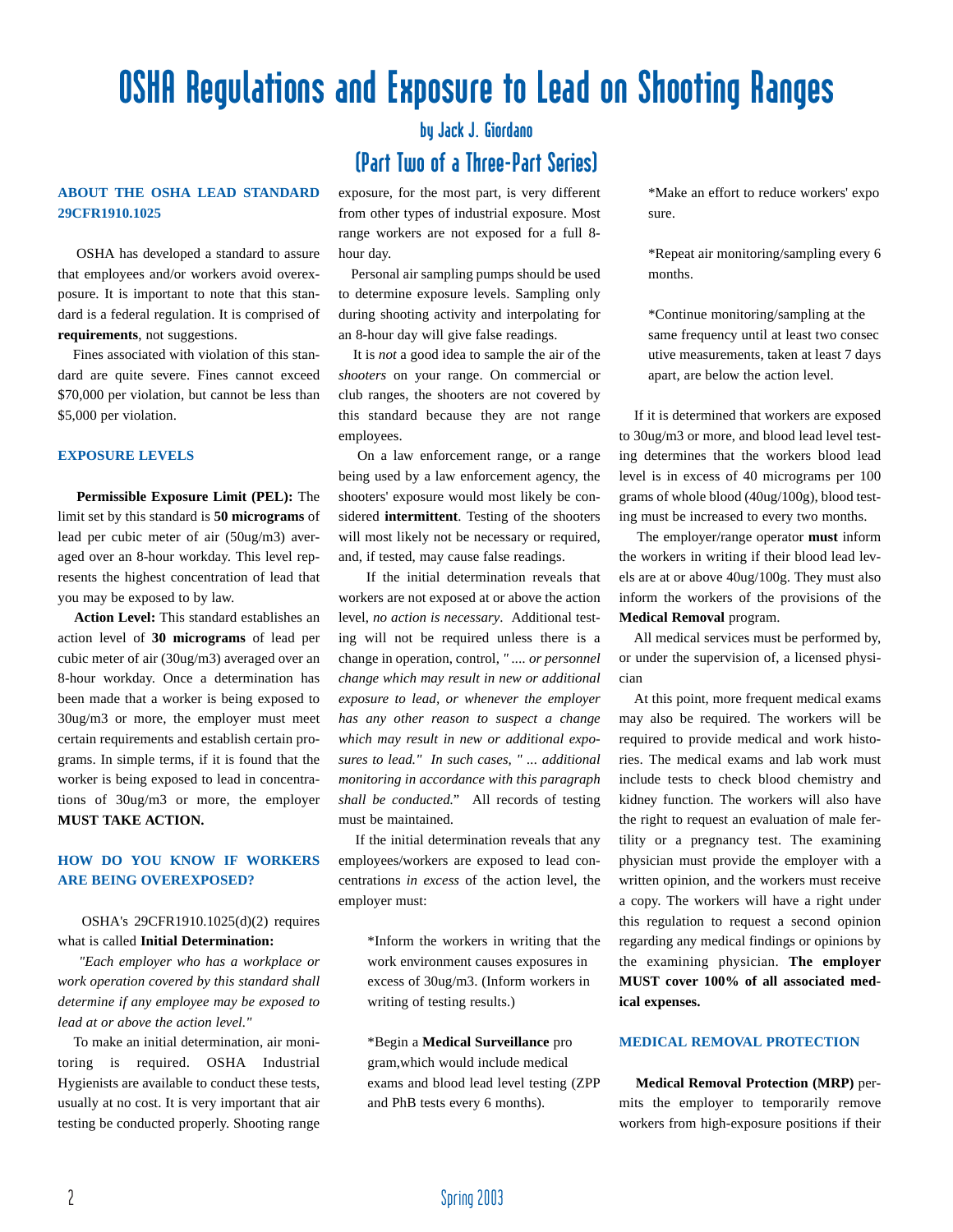# OSHA Regulations and Exposure to Lead on Shooting Ranges

#### **ABOUT THE OSHA LEAD STANDARD 29CFR1910.1025**

OSHA has developed a standard to assure that employees and/or workers avoid overexposure. It is important to note that this standard is a federal regulation. It is comprised of **requirements**, not suggestions.

Fines associated with violation of this standard are quite severe. Fines cannot exceed \$70,000 per violation, but cannot be less than \$5,000 per violation.

#### **EXPOSURE LEVELS**

**Permissible Exposure Limit (PEL):** The limit set by this standard is **50 micrograms** of lead per cubic meter of air (50ug/m3) averaged over an 8-hour workday. This level represents the highest concentration of lead that you may be exposed to by law.

**Action Level:** This standard establishes an action level of **30 micrograms** of lead per cubic meter of air (30ug/m3) averaged over an 8-hour workday. Once a determination has been made that a worker is being exposed to 30ug/m3 or more, the employer must meet certain requirements and establish certain programs. In simple terms, if it is found that the worker is being exposed to lead in concentrations of 30ug/m3 or more, the employer **MUST TAKE ACTION.**

#### **HOW DO YOU KNOW IF WORKERS ARE BEING OVEREXPOSED?**

#### OSHA's 29CFR1910.1025(d)(2) requires what is called **Initial Determination:**

*"Each employer who has a workplace or work operation covered by this standard shall determine if any employee may be exposed to lead at or above the action level."*

To make an initial determination, air monitoring is required. OSHA Industrial Hygienists are available to conduct these tests, usually at no cost. It is very important that air testing be conducted properly. Shooting range

# by Jack J. Giordano (Part Two of a Three-Part Series)

exposure, for the most part, is very different from other types of industrial exposure. Most range workers are not exposed for a full 8 hour day.

Personal air sampling pumps should be used to determine exposure levels. Sampling only during shooting activity and interpolating for an 8-hour day will give false readings.

It is *not* a good idea to sample the air of the *shooters* on your range. On commercial or club ranges, the shooters are not covered by this standard because they are not range employees.

On a law enforcement range, or a range being used by a law enforcement agency, the shooters' exposure would most likely be considered **intermittent**. Testing of the shooters will most likely not be necessary or required, and, if tested, may cause false readings.

If the initial determination reveals that workers are not exposed at or above the action level, *no action is necessary*. Additional testing will not be required unless there is a change in operation, control, *" .... or personnel change which may result in new or additional exposure to lead, or whenever the employer has any other reason to suspect a change which may result in new or additional exposures to lead." In such cases, " ... additional monitoring in accordance with this paragraph shall be conducted."* All records of testing must be maintained.

If the initial determination reveals that any employees/workers are exposed to lead concentrations *in excess* of the action level, the employer must:

> \*Inform the workers in writing that the work environment causes exposures in excess of 30ug/m3. (Inform workers in writing of testing results.)

> \*Begin a **Medical Surveillance** pro gram,which would include medical exams and blood lead level testing (ZPP and PhB tests every 6 months).

\*Make an effort to reduce workers' expo sure.

\*Repeat air monitoring/sampling every 6 months.

\*Continue monitoring/sampling at the same frequency until at least two consec utive measurements, taken at least 7 days apart, are below the action level.

If it is determined that workers are exposed to 30ug/m3 or more, and blood lead level testing determines that the workers blood lead level is in excess of 40 micrograms per 100 grams of whole blood (40ug/100g), blood testing must be increased to every two months.

The employer/range operator **must** inform the workers in writing if their blood lead levels are at or above 40ug/100g. They must also inform the workers of the provisions of the **Medical Removal** program.

All medical services must be performed by, or under the supervision of, a licensed physician

At this point, more frequent medical exams may also be required. The workers will be required to provide medical and work histories. The medical exams and lab work must include tests to check blood chemistry and kidney function. The workers will also have the right to request an evaluation of male fertility or a pregnancy test. The examining physician must provide the employer with a written opinion, and the workers must receive a copy. The workers will have a right under this regulation to request a second opinion regarding any medical findings or opinions by the examining physician. **The employer MUST cover 100% of all associated medical expenses.**

#### **MEDICAL REMOVAL PROTECTION**

**Medical Removal Protection (MRP)** permits the employer to temporarily remove workers from high-exposure positions if their

2 Spring 2003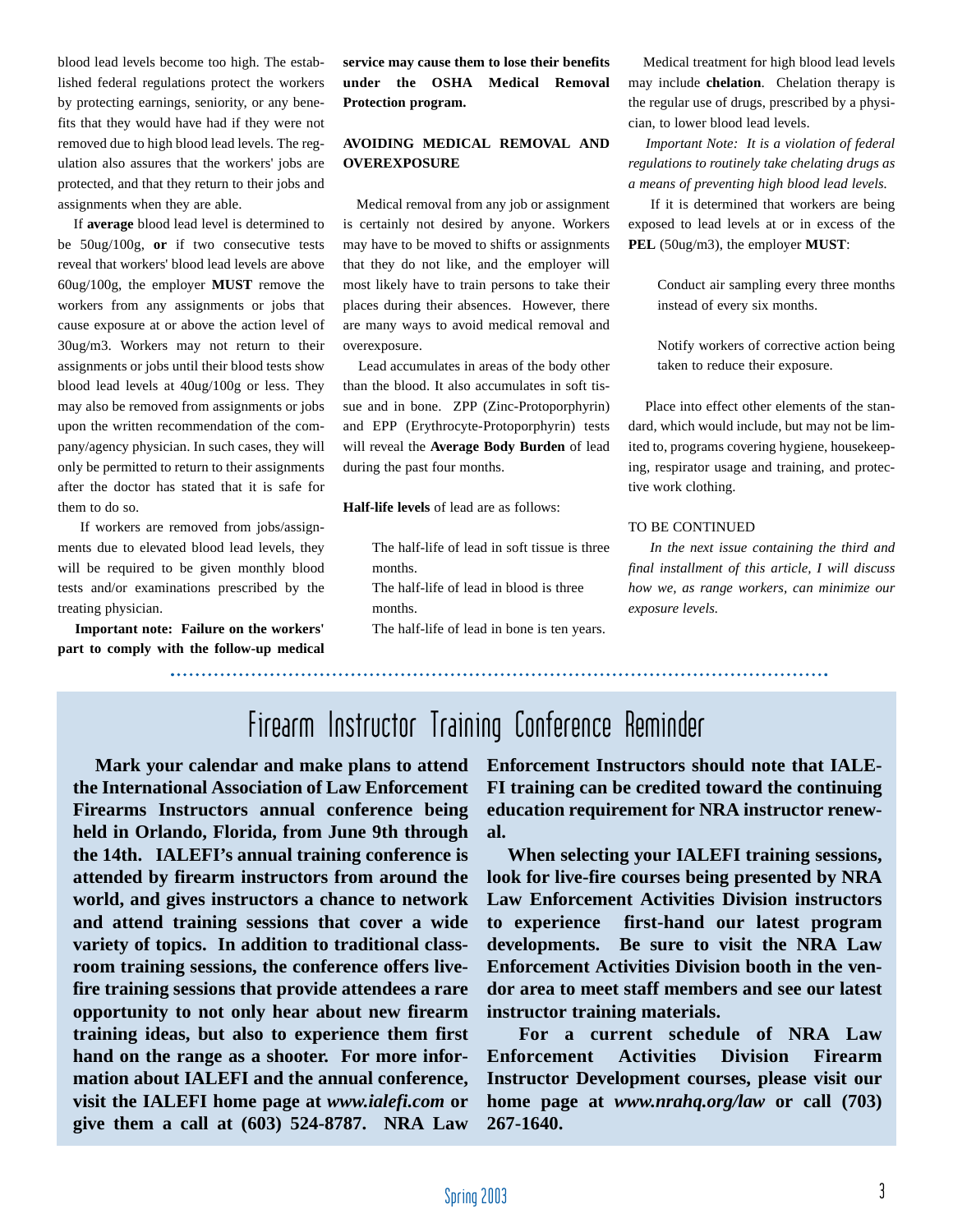blood lead levels become too high. The established federal regulations protect the workers by protecting earnings, seniority, or any benefits that they would have had if they were not removed due to high blood lead levels. The regulation also assures that the workers' jobs are protected, and that they return to their jobs and assignments when they are able.

If **average** blood lead level is determined to be 50ug/100g, **or** if two consecutive tests reveal that workers' blood lead levels are above 60ug/100g, the employer **MUST** remove the workers from any assignments or jobs that cause exposure at or above the action level of 30ug/m3. Workers may not return to their assignments or jobs until their blood tests show blood lead levels at 40ug/100g or less. They may also be removed from assignments or jobs upon the written recommendation of the company/agency physician. In such cases, they will only be permitted to return to their assignments after the doctor has stated that it is safe for them to do so.

If workers are removed from jobs/assignments due to elevated blood lead levels, they will be required to be given monthly blood tests and/or examinations prescribed by the treating physician.

**Important note: Failure on the workers' part to comply with the follow-up medical** **service may cause them to lose their benefits under the OSHA Medical Removal Protection program.**

#### **AVOIDING MEDICAL REMOVAL AND OVEREXPOSURE**

Medical removal from any job or assignment is certainly not desired by anyone. Workers may have to be moved to shifts or assignments that they do not like, and the employer will most likely have to train persons to take their places during their absences. However, there are many ways to avoid medical removal and overexposure.

Lead accumulates in areas of the body other than the blood. It also accumulates in soft tissue and in bone. ZPP (Zinc-Protoporphyrin) and EPP (Erythrocyte-Protoporphyrin) tests will reveal the **Average Body Burden** of lead during the past four months.

**Half-life levels** of lead are as follows:

The half-life of lead in soft tissue is three months. The half-life of lead in blood is three months.

The half-life of lead in bone is ten years.

Medical treatment for high blood lead levels may include **chelation**. Chelation therapy is the regular use of drugs, prescribed by a physician, to lower blood lead levels.

*Important Note: It is a violation of federal regulations to routinely take chelating drugs as a means of preventing high blood lead levels.*

If it is determined that workers are being exposed to lead levels at or in excess of the **PEL** (50ug/m3), the employer **MUST**:

> Conduct air sampling every three months instead of every six months.

> Notify workers of corrective action being taken to reduce their exposure.

Place into effect other elements of the standard, which would include, but may not be limited to, programs covering hygiene, housekeeping, respirator usage and training, and protective work clothing.

#### TO BE CONTINUED

*In the next issue containing the third and final installment of this article, I will discuss how we, as range workers, can minimize our exposure levels.*

Firearm Instructor Training Conference Reminder

**Mark your calendar and make plans to attend the International Association of Law Enforcement Firearms Instructors annual conference being held in Orlando, Florida, from June 9th through the 14th. IALEFI's annual training conference is attended by firearm instructors from around the world, and gives instructors a chance to network and attend training sessions that cover a wide variety of topics. In addition to traditional classroom training sessions, the conference offers livefire training sessions that provide attendees a rare opportunity to not only hear about new firearm training ideas, but also to experience them first hand on the range as a shooter. For more information about IALEFI and the annual conference, visit the IALEFI home page at** *www.ialefi.com* **or give them a call at (603) 524-8787. NRA Law** **Enforcement Instructors should note that IALE-FI training can be credited toward the continuing education requirement for NRA instructor renewal.**

**When selecting your IALEFI training sessions, look for live-fire courses being presented by NRA Law Enforcement Activities Division instructors to experience first-hand our latest program developments. Be sure to visit the NRA Law Enforcement Activities Division booth in the vendor area to meet staff members and see our latest instructor training materials.**

**For a current schedule of NRA Law Enforcement Activities Division Firearm Instructor Development courses, please visit our home page at** *www.nrahq.org/law* **or call (703) 267-1640.**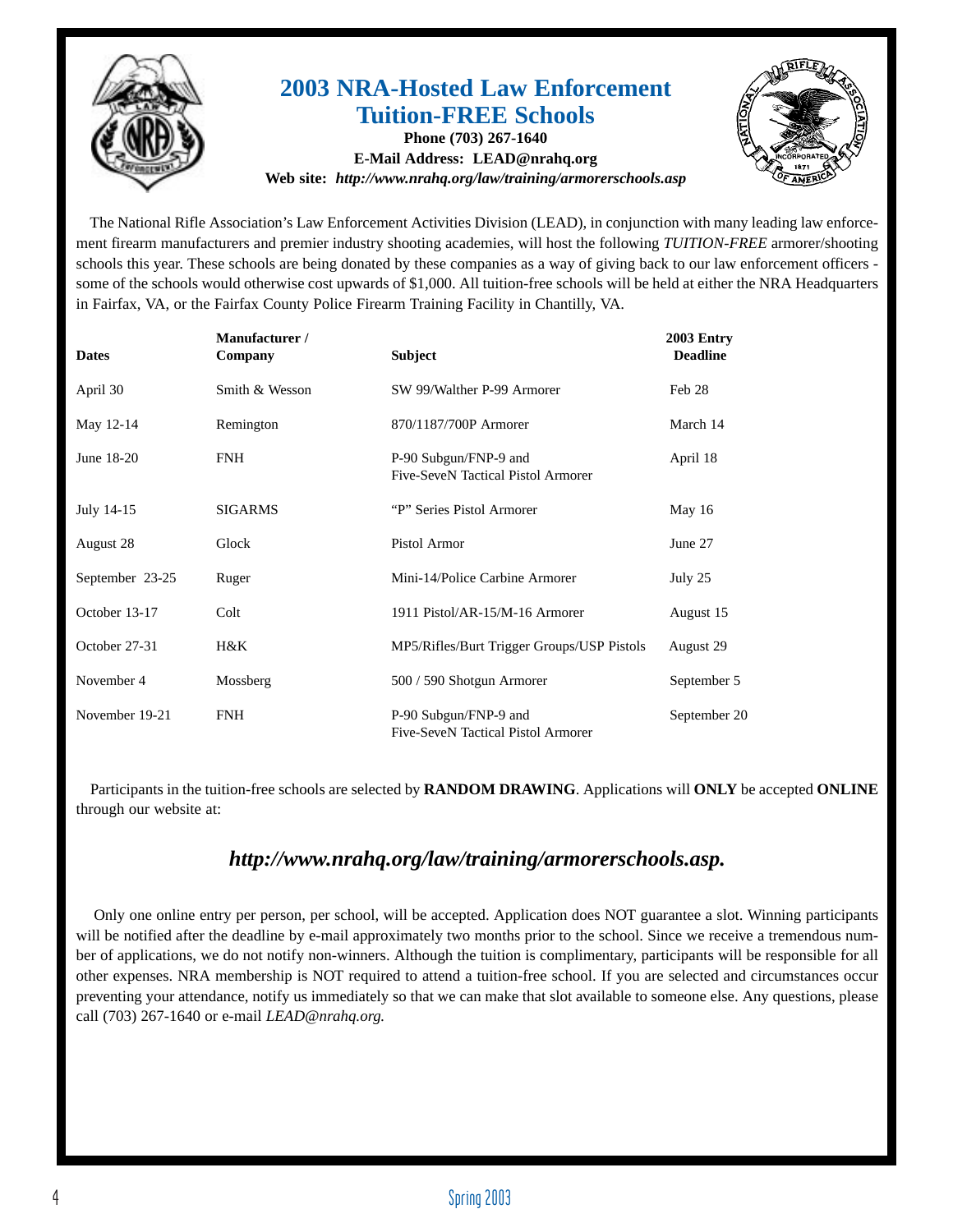

# **2003 NRA-Hosted Law Enforcement Tuition-FREE Schools**

**Phone (703) 267-1640 E-Mail Address: LEAD@nrahq.org Web site:** *http://www.nrahq.org/law/training/armorerschools.asp* 



The National Rifle Association's Law Enforcement Activities Division (LEAD), in conjunction with many leading law enforcement firearm manufacturers and premier industry shooting academies, will host the following *TUITION-FREE* armorer/shooting schools this year. These schools are being donated by these companies as a way of giving back to our law enforcement officers some of the schools would otherwise cost upwards of \$1,000. All tuition-free schools will be held at either the NRA Headquarters in Fairfax, VA, or the Fairfax County Police Firearm Training Facility in Chantilly, VA.

| <b>Dates</b>    | Manufacturer /<br>Company | <b>Subject</b>                                              | 2003 Entry<br><b>Deadline</b> |
|-----------------|---------------------------|-------------------------------------------------------------|-------------------------------|
| April 30        | Smith & Wesson            | SW 99/Walther P-99 Armorer                                  | Feb 28                        |
| May 12-14       | Remington                 | 870/1187/700P Armorer                                       | March 14                      |
| June 18-20      | <b>FNH</b>                | P-90 Subgun/FNP-9 and<br>Five-SeveN Tactical Pistol Armorer | April 18                      |
| July 14-15      | <b>SIGARMS</b>            | "P" Series Pistol Armorer                                   | May $16$                      |
| August 28       | Glock                     | Pistol Armor                                                | June 27                       |
| September 23-25 | Ruger                     | Mini-14/Police Carbine Armorer                              | July 25                       |
| October 13-17   | Colt                      | 1911 Pistol/AR-15/M-16 Armorer                              | August 15                     |
| October 27-31   | $H\&K$                    | MP5/Rifles/Burt Trigger Groups/USP Pistols                  | August 29                     |
| November 4      | Mossberg                  | 500 / 590 Shotgun Armorer                                   | September 5                   |
| November 19-21  | <b>FNH</b>                | P-90 Subgun/FNP-9 and<br>Five-SeveN Tactical Pistol Armorer | September 20                  |

Participants in the tuition-free schools are selected by **RANDOM DRAWING**. Applications will **ONLY** be accepted **ONLINE** through our website at:

## *http://www.nrahq.org/law/training/armorerschools.asp.*

Only one online entry per person, per school, will be accepted. Application does NOT guarantee a slot. Winning participants will be notified after the deadline by e-mail approximately two months prior to the school. Since we receive a tremendous number of applications, we do not notify non-winners. Although the tuition is complimentary, participants will be responsible for all other expenses. NRA membership is NOT required to attend a tuition-free school. If you are selected and circumstances occur preventing your attendance, notify us immediately so that we can make that slot available to someone else. Any questions, please call (703) 267-1640 or e-mail *LEAD@nrahq.org.*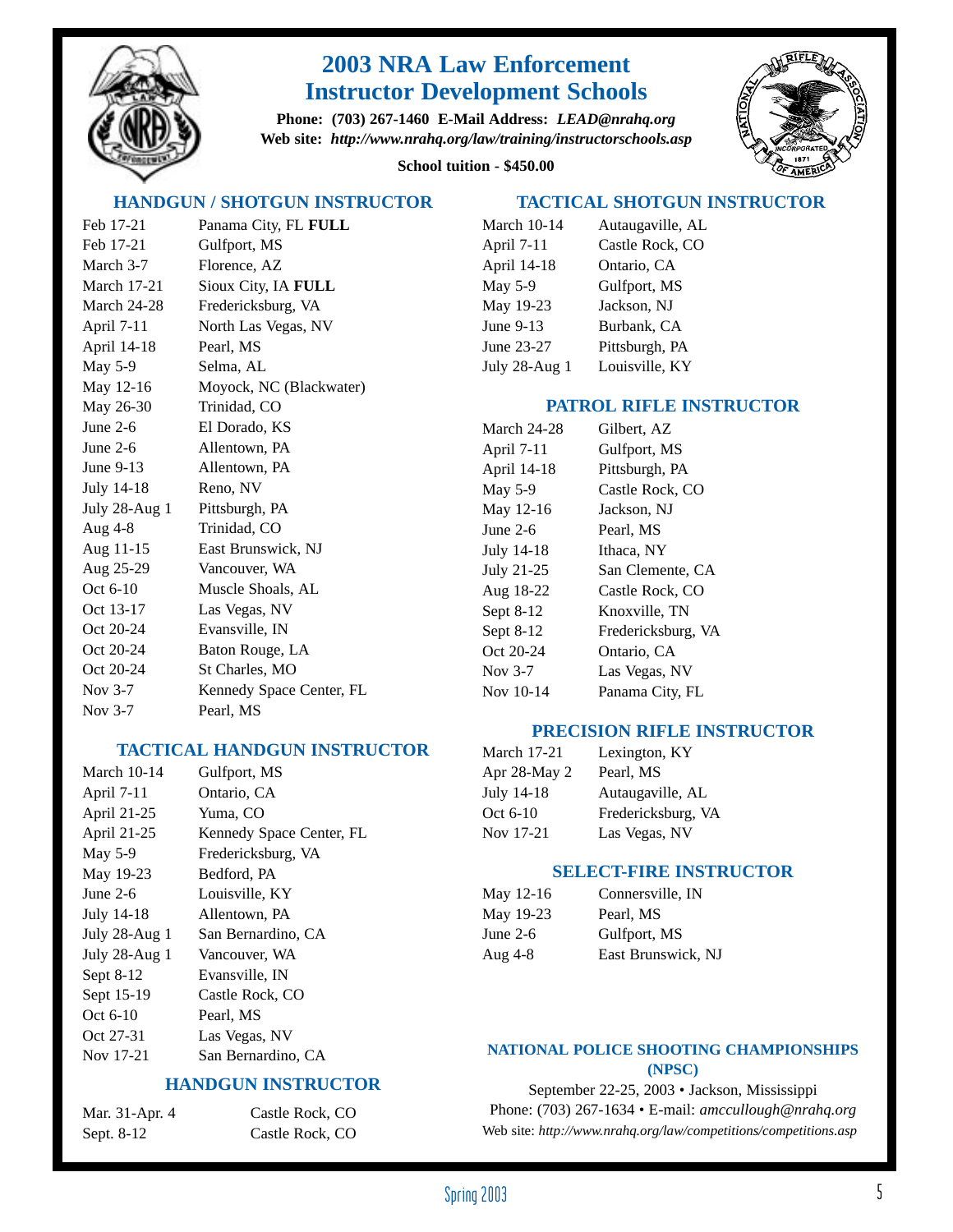

# **2003 NRA Law Enforcement Instructor Development Schools**

**Phone: (703) 267-1460 E-Mail Address:** *LEAD@nrahq.org* **Web site:** *http://www.nrahq.org/law/training/instructorschools.asp*



## **School tuition - \$450.00**

#### **HANDGUN / SHOTGUN INSTRUCTOR**

Feb 17-21 Panama City, FL **FULL** Feb 17-21 Gulfport, MS March 3-7 Florence, AZ March 17-21 Sioux City, IA **FULL** March 24-28 Fredericksburg, VA April 7-11 North Las Vegas, NV April 14-18 Pearl, MS May 5-9 Selma, AL May 12-16 Moyock, NC (Blackwater) May 26-30 Trinidad, CO June 2-6 El Dorado, KS June 2-6 Allentown, PA June 9-13 Allentown, PA July 14-18 Reno, NV July 28-Aug 1 Pittsburgh, PA Aug 4-8 Trinidad, CO Aug 11-15 East Brunswick, NJ Aug 25-29 Vancouver, WA Oct 6-10 Muscle Shoals, AL Oct 13-17 Las Vegas, NV Oct 20-24 Evansville, IN Oct 20-24 Baton Rouge, LA Oct 20-24 St Charles, MO Nov 3-7 Kennedy Space Center, FL Nov 3-7 Pearl, MS

### **TACTICAL HANDGUN INSTRUCTOR**

| <b>March 10-14</b>   | Gulfport, MS             |
|----------------------|--------------------------|
| April 7-11           | Ontario, CA              |
| April 21-25          | Yuma, CO                 |
| April 21-25          | Kennedy Space Center, FL |
| <b>May 5-9</b>       | Fredericksburg, VA       |
| May 19-23            | Bedford, PA              |
| June $2-6$           | Louisville, KY           |
| July 14-18           | Allentown, PA            |
| July 28-Aug 1        | San Bernardino, CA       |
| <b>July 28-Aug 1</b> | Vancouver, WA            |
| Sept 8-12            | Evansville, IN           |
| Sept 15-19           | Castle Rock, CO          |
| Oct 6-10             | Pearl, MS                |
| Oct 27-31            | Las Vegas, NV            |
| Nov 17-21            | San Bernardino, CA       |
|                      |                          |

## **HANDGUN INSTRUCTOR**

| Mar. 31-Apr. 4 | Castle Rock, CO |
|----------------|-----------------|
| Sept. 8-12     | Castle Rock, CO |

### **TACTICAL SHOTGUN INSTRUCTOR**

| <b>March 10-14</b>   | Autaugaville, AL |
|----------------------|------------------|
| April 7-11           | Castle Rock, CO  |
| April 14-18          | Ontario, CA      |
| May 5-9              | Gulfport, MS     |
| May 19-23            | Jackson, NJ      |
| June 9-13            | Burbank, CA      |
| June 23-27           | Pittsburgh, PA   |
| <b>July 28-Aug 1</b> | Louisville, KY   |

### **PATROL RIFLE INSTRUCTOR**

| March 24-28<br>April 7-11<br>April 14-18<br><b>May 5-9</b> | Gilbert, AZ<br>Gulfport, MS<br>Pittsburgh, PA<br>Castle Rock, CO |
|------------------------------------------------------------|------------------------------------------------------------------|
| May 12-16                                                  | Jackson, NJ                                                      |
| June $2-6$                                                 | Pearl, MS                                                        |
| July 14-18                                                 | Ithaca, NY                                                       |
| July 21-25                                                 | San Clemente, CA                                                 |
| Aug 18-22                                                  | Castle Rock, CO                                                  |
| Sept 8-12                                                  | Knoxville, TN                                                    |
| Sept 8-12                                                  | Fredericksburg, VA                                               |
| Oct 20-24                                                  | Ontario, CA                                                      |
| Nov $3-7$                                                  | Las Vegas, NV                                                    |
| Nov 10-14                                                  | Panama City, FL                                                  |
|                                                            |                                                                  |

## **PRECISION RIFLE INSTRUCTOR**

| <b>March 17-21</b> | Lexington, KY      |
|--------------------|--------------------|
| Apr $28$ -May $2$  | Pearl, MS          |
| July 14-18         | Autaugaville, AL   |
| Oct 6-10           | Fredericksburg, VA |
| Nov 17-21          | Las Vegas, NV      |

## **SELECT-FIRE INSTRUCTOR**

| May 12-16  | Connersville, IN   |
|------------|--------------------|
| May 19-23  | Pearl, MS          |
| June $2-6$ | Gulfport, MS       |
| Aug $4-8$  | East Brunswick, NJ |

### **NATIONAL POLICE SHOOTING CHAMPIONSHIPS (NPSC)**

September 22-25, 2003 • Jackson, Mississippi Phone: (703) 267-1634 • E-mail: *amccullough@nrahq.org* Web site: *http://www.nrahq.org/law/competitions/competitions.asp*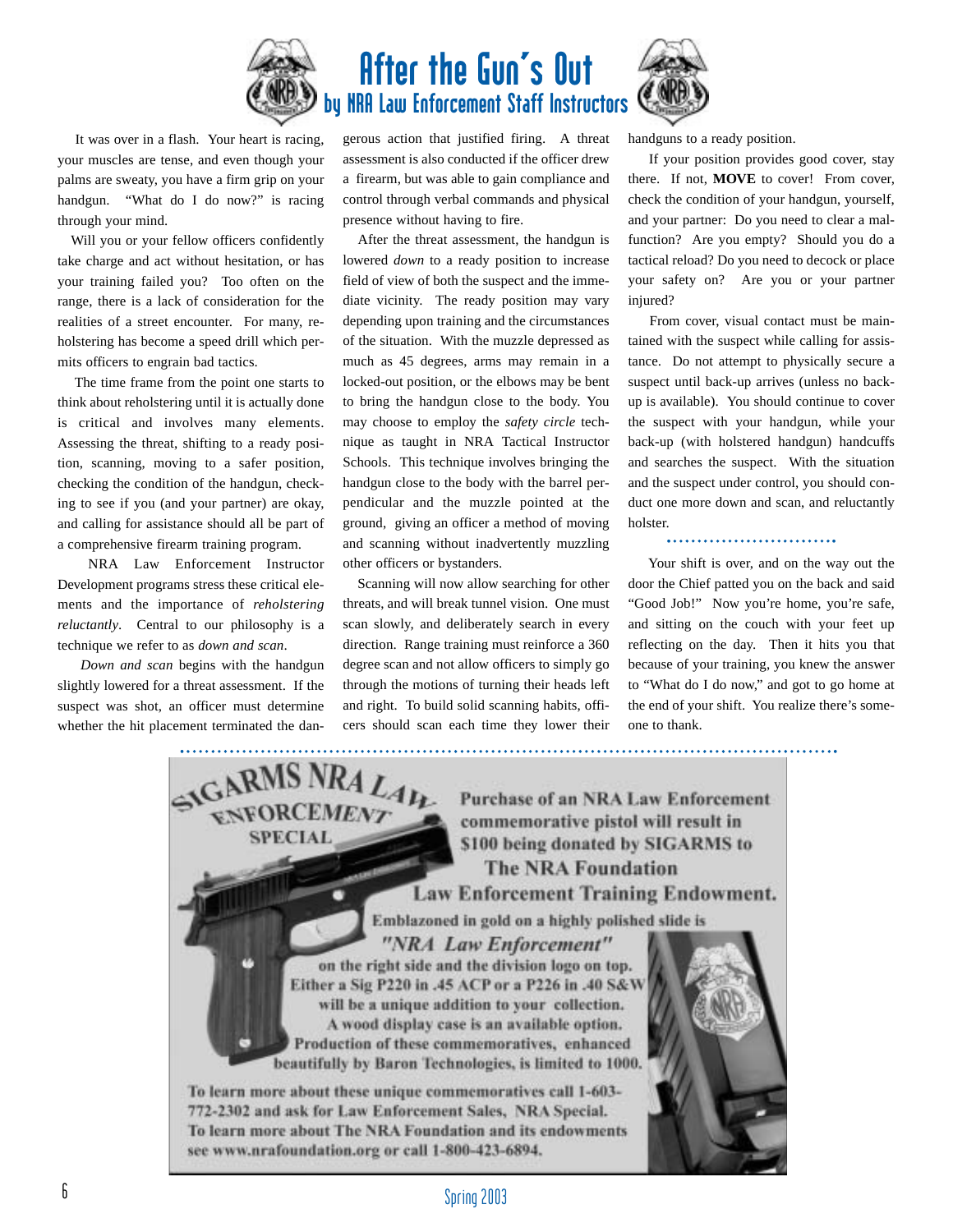

# After the Gun's Out **NRA Law Enforcement Staff Instructors**

It was over in a flash. Your heart is racing, your muscles are tense, and even though your palms are sweaty, you have a firm grip on your handgun. "What do I do now?" is racing through your mind.

Will you or your fellow officers confidently take charge and act without hesitation, or has your training failed you? Too often on the range, there is a lack of consideration for the realities of a street encounter. For many, reholstering has become a speed drill which permits officers to engrain bad tactics.

The time frame from the point one starts to think about reholstering until it is actually done is critical and involves many elements. Assessing the threat, shifting to a ready position, scanning, moving to a safer position, checking the condition of the handgun, checking to see if you (and your partner) are okay, and calling for assistance should all be part of a comprehensive firearm training program.

NRA Law Enforcement Instructor Development programs stress these critical elements and the importance of *reholstering reluctantly*. Central to our philosophy is a technique we refer to as *down and scan*.

*Down and scan* begins with the handgun slightly lowered for a threat assessment. If the suspect was shot, an officer must determine whether the hit placement terminated the dangerous action that justified firing. A threat assessment is also conducted if the officer drew a firearm, but was able to gain compliance and control through verbal commands and physical presence without having to fire.

After the threat assessment, the handgun is lowered *down* to a ready position to increase field of view of both the suspect and the immediate vicinity. The ready position may vary depending upon training and the circumstances of the situation. With the muzzle depressed as much as 45 degrees, arms may remain in a locked-out position, or the elbows may be bent to bring the handgun close to the body. You may choose to employ the *safety circle* technique as taught in NRA Tactical Instructor Schools. This technique involves bringing the handgun close to the body with the barrel perpendicular and the muzzle pointed at the ground, giving an officer a method of moving and scanning without inadvertently muzzling other officers or bystanders.

Scanning will now allow searching for other threats, and will break tunnel vision. One must scan slowly, and deliberately search in every direction. Range training must reinforce a 360 degree scan and not allow officers to simply go through the motions of turning their heads left and right. To build solid scanning habits, officers should scan each time they lower their handguns to a ready position.

If your position provides good cover, stay there. If not, **MOVE** to cover! From cover, check the condition of your handgun, yourself, and your partner: Do you need to clear a malfunction? Are you empty? Should you do a tactical reload? Do you need to decock or place your safety on? Are you or your partner injured?

From cover, visual contact must be maintained with the suspect while calling for assistance. Do not attempt to physically secure a suspect until back-up arrives (unless no backup is available). You should continue to cover the suspect with your handgun, while your back-up (with holstered handgun) handcuffs and searches the suspect. With the situation and the suspect under control, you should conduct one more down and scan, and reluctantly holster.

Your shift is over, and on the way out the door the Chief patted you on the back and said "Good Job!" Now you're home, you're safe, and sitting on the couch with your feet up reflecting on the day. Then it hits you that because of your training, you knew the answer to "What do I do now," and got to go home at the end of your shift. You realize there's someone to thank.

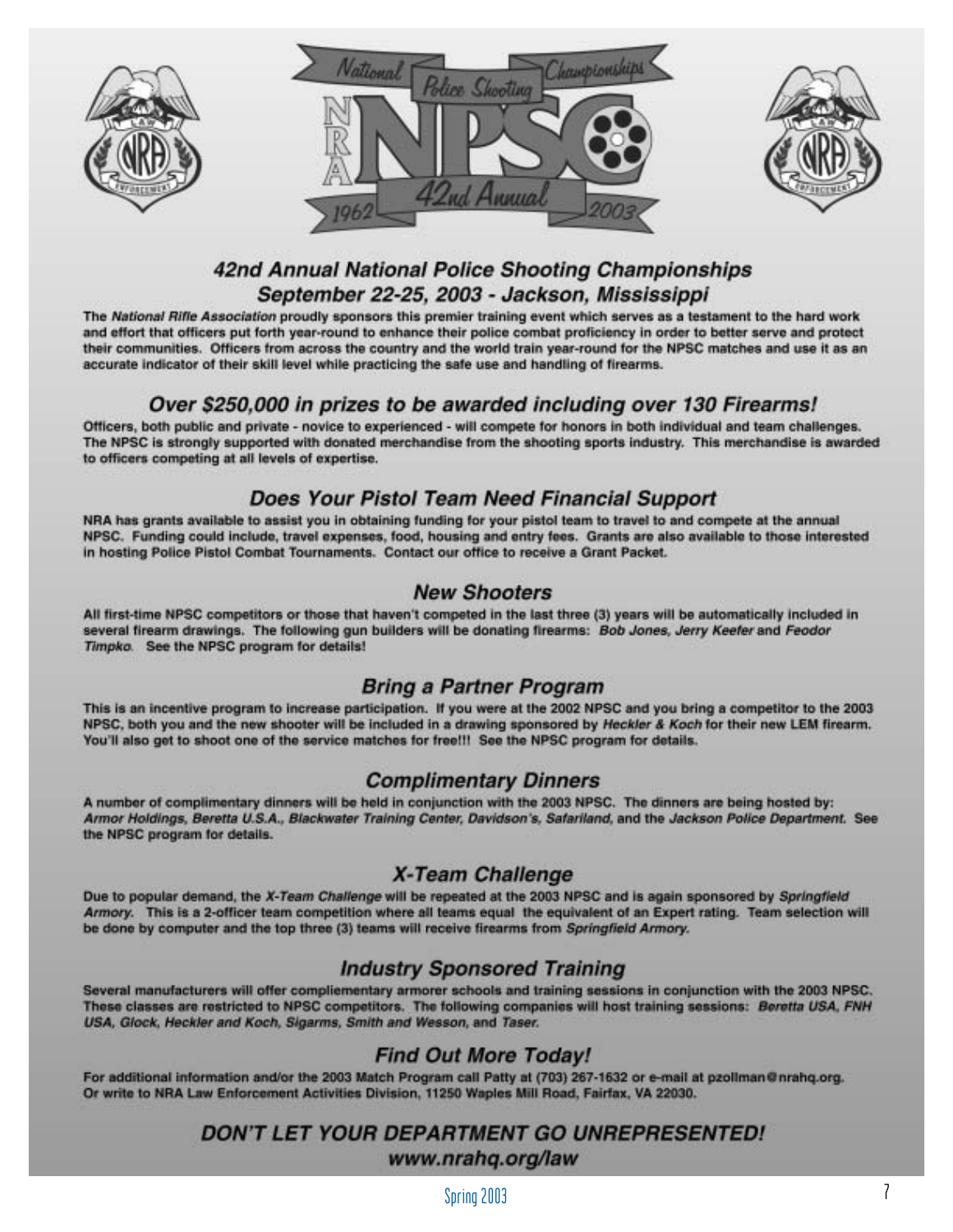





# 42nd Annual National Police Shooting Championships September 22-25, 2003 - Jackson, Mississippi

The National Rifle Association proudly sponsors this premier training event which serves as a testament to the hard work and effort that officers put forth year-round to enhance their police combat proficiency in order to better serve and protect their communities. Officers from across the country and the world train year-round for the NPSC matches and use it as an accurate indicator of their skill level while practicing the safe use and handling of firearms.

## Over \$250,000 in prizes to be awarded including over 130 Firearms!

Officers, both public and private - novice to experienced - will compete for honors in both individual and team challenges. The NPSC is strongly supported with donated merchandise from the shooting sports industry. This merchandise is awarded to officers competing at all levels of expertise.

## Does Your Pistol Team Need Financial Support

NRA has grants available to assist you in obtaining funding for your pistol team to travel to and compete at the annual NPSC. Funding could include, travel expenses, food, housing and entry fees. Grants are also available to those interested in hosting Police Pistol Combat Tournaments. Contact our office to receive a Grant Packet.

## **New Shooters**

All first-time NPSC competitors or those that haven't competed in the last three (3) years will be automatically included in several firearm drawings. The following gun builders will be donating firearms: Bob Jones, Jerry Keefer and Feodor Timpko. See the NPSC program for details!

## **Bring a Partner Program**

This is an incentive program to increase participation. If you were at the 2002 NPSC and you bring a competitor to the 2003 NPSC, both you and the new shooter will be included in a drawing sponsored by Heckler & Koch for their new LEM firearm. You'll also get to shoot one of the service matches for free!!! See the NPSC program for details.

## **Complimentary Dinners**

A number of complimentary dinners will be held in conjunction with the 2003 NPSC. The dinners are being hosted by: Armor Holdings, Beretta U.S.A., Blackwater Training Center, Davidson's, Safariland, and the Jackson Police Department. See the NPSC program for details.

## **X-Team Challenge**

Due to popular demand, the X-Team Challenge will be repeated at the 2003 NPSC and is again sponsored by Springfield Armory. This is a 2-officer team competition where all teams equal the equivalent of an Expert rating. Team selection will be done by computer and the top three (3) teams will receive firearms from Springfield Armory.

## **Industry Sponsored Training**

Several manufacturers will offer compliementary armorer schools and training sessions in conjunction with the 2003 NPSC. These classes are restricted to NPSC competitors. The following companies will host training sessions: Beretta USA, FNH USA, Glock, Heckler and Koch, Sigarms, Smith and Wesson, and Taser.

## **Find Out More Today!**

For additional information and/or the 2003 Match Program call Patty at (703) 267-1632 or e-mail at pzollman@nrahq.org. Or write to NRA Law Enforcement Activities Division, 11250 Waples Mill Road, Fairfax, VA 22030.

## DON'T LET YOUR DEPARTMENT GO UNREPRESENTED! www.nrahq.org/law